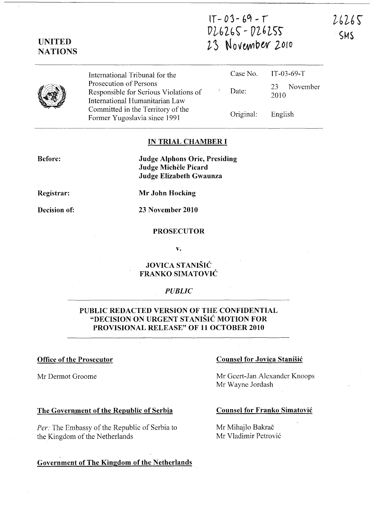## $IT - 03 - 69 - T$  $V 26265 - V 26255$ 23 November 2010

26265 SMS

|                                                                                                                                                                                                          | Case No. IT-03-69-T    |
|----------------------------------------------------------------------------------------------------------------------------------------------------------------------------------------------------------|------------------------|
| Date:                                                                                                                                                                                                    | November<br>23<br>2010 |
| Original:                                                                                                                                                                                                | English                |
| International Tribunal for the<br>Prosecution of Persons<br>Responsible for Serious Violations of<br>International Humanitarian Law<br>Committed in the Territory of the<br>Former Yugoslavia since 1991 |                        |

#### IN TRIAL CHAMBER I

Judge Alphons Orie, Presiding Judge Michèle Picard Judge Elizabeth Gwaunza

Registrar:

Before:

UNITED **NATIONS** 

Decision of:

Mr John Hocking

23 November 2010

#### **PROSECUTOR**

v.

#### JOVICA STANISIC FRANKO SIMATOVIC

#### *PUBLIC*

#### PUBLIC REDACTED VERSION OF THE CONFIDENTIAL "DECISION ON URGENT STANISIC MOTION FOR PROVISIONAL RELEASE" OF 11 OCTOBER 2010

Mr Dermot Groome

#### The Government of the Republic of Serbia

*Per:* The Embassy of the Republic of Serbia to the Kingdom of the Netherlands

#### Government of The Kingdom of the Netherlands

#### Office of the Prosecutor Counsel for Jovica Stanisic

Mr Geert-Jan Alexander Knoops Mr Wayne Jordash

#### Counsel for Franko Simatovic

Mr Mihajlo Bakrač Mr Vladimir Petrovi6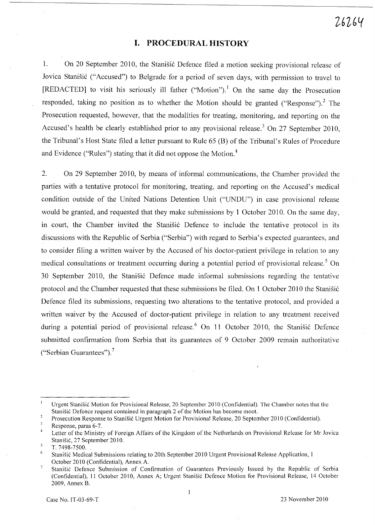### **I. PROCEDURAL HISTORY**

1. On 20 September 2010, the Stanišić Defence filed a motion seeking provisional release of Jovica Stanišić ("Accused") to Belgrade for a period of seven days, with permission to travel to [REDACTED] to visit his seriously ill father ("Motion").<sup>1</sup> On the same day the Prosecution responded, taking no position as to whether the Motion should be granted ("Response").<sup>2</sup> The Prosecution requested, however, that the modalities for treating, monitoring, and reporting on the Accused's health be clearly established prior to any provisional release.<sup>3</sup> On 27 September 2010, the Tribunal's Host State filed a letter pursuant to Rule 65 (B) of the Tribunal's Rules of Procedure and Evidence ("Rules") stating that it did not oppose the Motion. <sup>4</sup>

2. On 29 September 2010, by means of informal communications, the Chamber provided the parties with a tentative protocol for monitoring, treating, and reporting on the Accused's medical condition outside of the United Nations Detention Unit ("UNDU") in case provisional release would be granted, and requested that they make submissions by 1 October 2010. On the same day, in court, the Chamber invited the Stanisic Defence to include the tentative protocol in its discussions with the Republic of Serbia ("Serbia") with regard to Serbia's expected guarantees, and to consider filing a written waiver by the Accused of his doctor-patient privilege in relation to any medical consultations or treatment occurring during a potential period of provisional release.<sup>5</sup> On 30 September 2010, the Stanisic Defence made informal submissions regarding the tentative protocol and the Chamber requested that these submissions be filed. On 1 October 2010 the Stanišić Defence filed its submissions, requesting two alterations to the tentative protocol, and provided a written waiver by the Accused of doctor-patient privilege in relation to any treatment received during a potential period of provisional release.<sup>6</sup> On 11 October 2010, the Stanisic Defence submitted confirmation from Serbia that its guarantees of 9 October 2009 remain authoritative ("Serbian Guarantees"). <sup>7</sup>

 $\mathbf{1}$ Urgent Stanisic Motion for Provisional Release, 20 September 20 I 0 (Confidential). The Chamber notes that the Stanisic Defence request contained in paragraph 2 of the Motion has become moot.

 $\overline{2}$ Prosecution Response to Stanisic Urgent Motion for Provisional Release, 20 September 20 10 (Confidential).

<sup>3</sup> Response, paras 6-7.

 $\overline{4}$ Letter of the Ministry of Foreign Affairs of the Kingdom of the Netherlands on Provisional Release for Mr Jovica Stanisic, 27 September 2010.

 $\overline{5}$ T.7498-7500.

<sup>6</sup> Stanisic Medical Submissions relating to 20th September 2010 Urgent Provisional Release Application, 1 October 2010 (Confidential), Annex A.

 $\overline{7}$ Stanisic Defence Submission of Confirmation of Guarantees Previously Issued by the Republic of Serbia (Confidential), 11 October 2010, Annex A; Urgent Stanisic Defence Motion for Provisional Release, 14 October 2009, Annex B.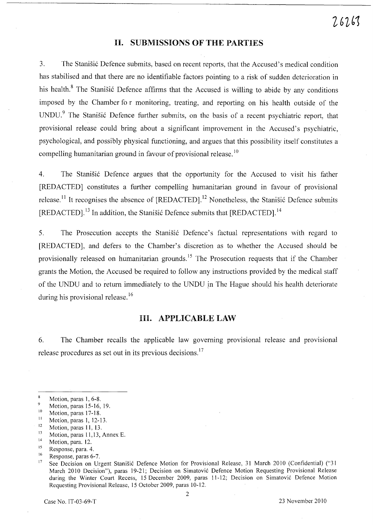#### **II. SUBMISSIONS OF THE PARTIES**

3. The Stanišić Defence submits, based on recent reports, that the Accused's medical condition has stabilised and that there are no identifiable factors pointing to a risk of sudden deterioration in his health.<sup>8</sup> The Stanišić Defence affirms that the Accused is willing to abide by any conditions imposed by the Chamber fo r monitoring, treating, and reporting on his health outside of the UNDU.<sup>9</sup> The Stanišić Defence further submits, on the basis of a recent psychiatric report, that provisional release could bring about a significant improvement in the Accused's psychiatric, psychological, and possibly physical functioning, and argues that this possibility itself constitutes a compelling humanitarian ground in favour of provisional release.<sup>10</sup>

4. The Stanisic Defence argues that the opportunity for the Accused to visit his father [REDACTED] constitutes a further compelling humanitarian ground in favour of provisional release.<sup>11</sup> It recognises the absence of  $[REDACTER]$ .<sup>12</sup> Nonetheless, the Stanisić Defence submits [REDACTED].<sup>13</sup> In addition, the Stanisic Defence submits that [REDACTED].<sup>14</sup>

5. The Prosecution accepts the Stanisic Defence's factual representations with regard to [REDACTED], and defers to the Chamber's discretion as to whether the Accused should be provisionally released on humanitarian grounds.<sup>15</sup> The Prosecution requests that if the Chamber grants the Motion, the Accused be required to follow any instructions provided by the medical staff of the UNDU and to return immediately to the UNDU in The Hague should his health deteriorate during his provisional release.<sup>16</sup>

#### **Ill. APPLICABLE LAW**

6. The Chamber recalls the applicable law govermng provisional release and provisional release procedures as set out in its previous decisions. <sup>17</sup>

 $13$  Motion, paras 11,13, Annex E.

 $^{16}$  Response, paras 6-7.

 $\bf 8$ Motion, paras 1, 6-8.  $\,9$ 

Motion, paras 15-16, 19.

 $\frac{10}{11}$  Motion, paras 17-18.

 $11$  Motion, paras 1, 12-13.

 $\frac{12}{13}$  Motion, paras 11, 13.

 $^{14}$  Motion, para. 12.

 $^{15}$  Response, para. 4.

See Decision on Urgent Stanišić Defence Motion for Provisional Release, 31 March 2010 (Confidential) ("31 March 2010 Decision"), paras 19-21; Decision on Simatovic Defence Motion Requesting Provisional Release during the Winter Court Recess, 15 December 2009, paras 11-12; Decision on Simatovic Defence Motion Requesting Provisional Release, 15 October 2009, paras 10-12.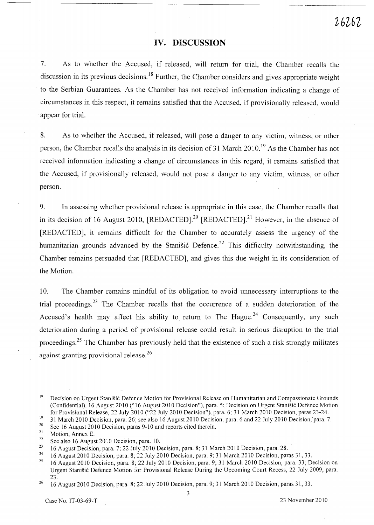### **IV. DISCUSSION**

7. As to whether the Accused, if released, will return for trial, the Chamber recalls the discussion in its previous decisions.<sup>18</sup> Further, the Chamber considers and gives appropriate weight to the Serbian Guarantees. As the Chamber has not received information indicating a change of circumstances in this respect, it remains satisfied that the Accused, if provisionally released, would appear for trial.

8. As to whether the Accused, if released, will pose a danger to any victim, witness, or other person, the Chamber recalls the analysis in its decision of 31 March 2010. 19 As the Chamber has not received information indicating a change of circumstances in this regard, it remains satisfied that the Accused, if provisionally released, would not pose a danger to any victim, witness, or other person.

9. In assessing whether provisional release is appropriate in this case, the Chamber recalls that in its decision of 16 August 2010,  $[REDACTER]$ <sup>20</sup>  $[REDACTER]$ <sup>21</sup> However, in the absence of [REDACTED], it remains difficult for the Chamber to accurately assess the urgency of the humanitarian grounds advanced by the Stanisic Defence.<sup>22</sup> This difficulty notwithstanding, the Chamber remains persuaded that [REDACTED], and gives this due weight in its consideration of the Motion.

10. The Chamber remains mindful of its obligation to avoid unnecessary interruptions to the trial proceedings.<sup>23</sup> The Chamber recalls that the occurrence of a sudden deterioration of the Accused's health may affect his ability to return to The Hague.<sup>24</sup> Consequently, any such deterioration during a period of provisional release could result in serious disruption to the trial proceedings.<sup>25</sup> The Chamber has previously held that the existence of such a risk strongly militates against granting provisional release.<sup>26</sup>

3

<sup>18</sup>  Decision on Urgent Stanisic Defence Motion for Provisional Release on Humanitarian and Compassionate Grounds (Confidential), 16 August 2010 ("16 August 2010 Decision"), para. 5; Decision on Urgent Stanisic Defence Motion for Provisional Release, 22 July 2010 ("22 July 2010 Decision"), para. 6; 31 March 2010 Decision, paras 23-24.

<sup>19</sup>  31 March 2010 Decision, para. 26; see also 16 August 2010 Decision, para. 6 and 22 July 2010 Decision,-para. 7.

<sup>20</sup>  See 16 August 2010 Decision, paras 9-10 and reports cited therein.

<sup>21</sup>  Motion, Annex E.

<sup>22</sup>  See also 16 August 2010 Decision, para. 10.

<sup>23</sup>  16 August Decision, para. 7; 22 July 2010 Decision, para. 8; 31 March 20 10 Decision, para. 28.

<sup>24</sup>  16 August 2010 Decision, para. 8; 22 July 2010 Decision, para. 9; 31 March 2010 Decision, paras 31, 33.

<sup>25</sup>  16 August 2010 Decision, para. 8; 22 July 2010 Decision, para. 9; 31 March 2010 Decision, para. 33; Decision on Urgent Stanisic Defence Motion for Provisional Release During the Upcoming Court Recess, 22 July 2009, para. 23.

<sup>26</sup>  16 August 2010 Decision, para. 8; 22 July 2010 Decision, para. 9; 31 March 2010 Decision, paras 31, 33.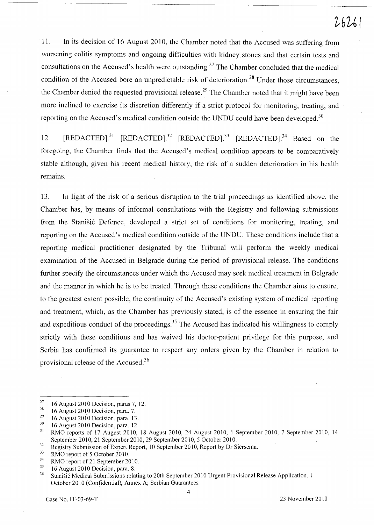# $26261$

11. In its decision of 16 August 2010, the Chamber noted that the Accused was suffering from worsening colitis symptoms and ongoing difficulties with kidney stones and that certain tests and consultations on the Accused's health were outstanding.<sup>27</sup> The Chamber concluded that the medical condition of the Accused bore an unpredictable risk of deterioration.<sup>28</sup> Under those circumstances, the Chamber denied the requested provisional release.<sup>29</sup> The Chamber noted that it might have been more inclined to exercise its discretion differently if a strict protocol for monitoring, treating, and reporting on the Accused's medical condition outside the UNDU could have been developed.<sup>30</sup>

12. [REDACTED].<sup>31</sup> [REDACTED].<sup>32</sup> [REDACTED].<sup>33</sup> [REDACTED].<sup>34</sup> Based on the foregoing, the Chamber finds that the Accused's medical condition appears to be comparatively stable although, given his recent medical history, the risk of a sudden deterioration in his health remains.

13. In light of the risk of a serious disruption to the trial proceedings as identified above, the Chamber has, by means of informal consultations with the Registry and following submissions from the Stanišić Defence, developed a strict set of conditions for monitoring, treating, and reporting on the Accused's medical condition outside of the UNDU. These conditions include that a reporting medical practitioner designated by the Tribunal will perform the weekly medical examination of the Accused in Belgrade during the period of provisional release. The conditions further specify the circumstances under which the Accused may seek medical treatment in Belgrade and the manner in which he is to be treated. Through these conditions the Chamber aims to ensure, to the greatest extent possible, the continuity of the Accused's existing system of medical reporting and treatment, which, as the Chamber has previously stated, is of the essence in ensuring the fair and expeditious conduct of the proceedings.<sup>35</sup> The Accused has indicated his willingness to comply strictly with these conditions and has waived his doctor-patient privilege for this purpose, and Serbia has confirmed its guarantee to respect any orders given by the Chamber in relation to provisional release of the Accused. <sup>36</sup>

<sup>&</sup>lt;sup>27</sup> 16 August 2010 Decision, paras 7, 12.

<sup>&</sup>lt;sup>28</sup> 16 August 2010 Decision, para. 7.

 $^{29}$  16 August 2010 Decision, para. 13.

 $\frac{30}{31}$  16 August 2010 Decision, para. 12.

<sup>31</sup>RMO reports of 17 August 2010, 18 August 2010, 24 August 2010, I September 2010, 7 September 2010, 14 September 2010, 21 September 2010, 29 September 2010, 5 October 2010.

 $\frac{32}{33}$  Registry Submission of Expert Report, 10 September 2010, Report by Dr Siersema.<br> $\frac{33}{33}$  PMO report of 5 October 2010.

 $33$  RMO report of 5 October 2010.

 $^{34}$  RMO report of 21 September 2010.

 $35$  16 August 2010 Decision, para. 8.<br> $36$  Stepičić Medical Submissions rela

<sup>36</sup> Stanisi6 Medical Submissions relating to 20th September 2010 Urgent Provisional Release Application, 1 October 2010 (Confidential), Annex A; Serbian Guarantees.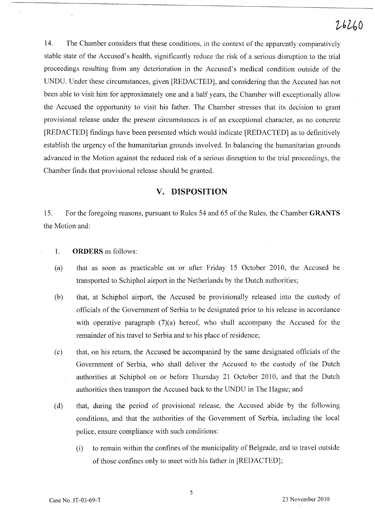14. The Chamber considers that these conditions, in the context of the apparently comparatively stable state of the Accused's health, significantly reduce the risk of a serious disruption to the trial proceedings resulting from any deterioration in the Accused's medical condition outside of the UNDU. Under these circumstances, given [REDACTED], and considering that the Accused has not been able to visit him for approximately one and a half years, the Chamber will exceptionally allow the Accused the opportunity to visit his father. The Chamber stresses that its decision to grant provisional release under the present circumstances is of an exceptional character, as no concrete [REDACTED] findings have been presented which would indicate [REDACTED] as to definitively establish the urgency of the humanitarian grounds involved. In balancing the humanitarian grounds advanced in the Motion against the reduced risk of a serious disruption to the trial proceedings, the Chamber finds that provisional release should be granted.

#### **v. DISPOSITION**

15. For the foregoing reasons, pursuant to Rules 54 and 65 of the Rules, the Chamber **GRANTS**  the Motion and:

- 1. **ORDERS** as follows:
- (a) that as soon as practicable on or after Friday 15 October 2010, the Accused be transported to Schiphol airport in the Netherlands by the Dutch authorities;
- (b) that, at Schiphol airport, the Accused be provisionally released into the custody of officials of the Government of Serbia to be designated prior to his release in accordance with operative paragraph  $(7)(a)$  hereof, who shall accompany the Accused for the remainder of his travel to Serbia and to his place of residence;
- (c) that, on his return, the Accused be accompanied by the same designated officials of the Government of Serbia, who shall deliver the Accused to the custody of the Dutch authorities at Schiphol on or before Thursday 21 October 2010, and that the Dutch authorities then transport the Accused back to the UNDU in The Hague; and
- (d) that, during the period of provisional release, the Accused abide by the following conditions, and that the authorities of the Government of Serbia, including the local police, ensure compliance with such conditions:
	- (i) to remain within the confines of the municipality of Belgrade, and to travel outside of those confines only to meet with his father in [REDACTED];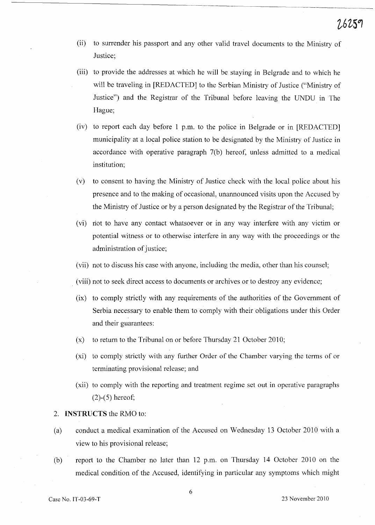- (ii) to surrender his passport and any other valid travel documents to the Ministry of Justice;
- (iii) to provide the addresses at which he will be staying in Belgrade and to which he will be traveling in [REDACTED] to the Serbian Ministry of Justice ("Ministry of Justice") and the Registrar of the Tribunal before leaving the UNDU in The Hague;
- (iv) to report each day before  $1$  p.m. to the police in Belgrade or in [REDACTED] municipality at a local police station to be designated by the Ministry of Justice in accordance with operative paragraph 7(b) hereof, unless admitted to a medical institution;
- (v) to consent to having the Ministry of Justice check with the local police about his presence and to the making of occasional, unannounced visits upon the Accused by the Ministry of Justice or by a person designated by the Registrar of the Tribunal;
- (vi) not to have any contact whatsoever or in any way interfere with any victim or potential witness or to otherwise interfere in any way with the proceedings or the administration of justice;
- (vii) not to discuss his case with anyone, including the media, other than his counsel;
- (viii) not to seek direct access to documents or archives or to destroy any evidence;
- (ix) to comply strictly with any requirements of the authorities of the Government of Serbia necessary to enable them to comply with their obligations under this Order and their guarantees:
- (x) to return to the Tribunal on or before Thursday 21 October 2010;
- (xi) to comply strictly with any further Order of the Chamber varying the terms of or terminating provisional release; and
- (xii) to comply with the reporting and treatment regime set out in operative paragraphs (2)-(5) hereof;

#### 2. **INSTRUCTS** the RMO to:

- (a) conduct a medical examination of the Accused on Wednesday 13 October 2010 with a view to his provisional release;
- (b) report to the Chamber no later than 12 p.m. on Thursday **14** October 2010 on the medical condition of the Accused, identifying in particular any symptoms which might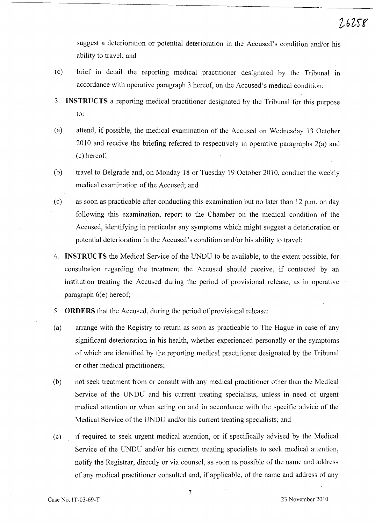suggest a deterioration or potential deterioration in the Accused's condition and/or his ability to travel; and

- (c) brief in detail the reporting medical practitioner designated by the Tribunal in accordance with operative paragraph 3 hereof, on the Accused's medical condition;
- 3. **INSTRUCTS** a reporting medical practitioner designated by the Tribunal for this purpose to:
- (a) attend, if possible, the medical examination of the Accused on Wednesday l3 October 2010 and receive the briefing referred to respectively in operative paragraphs 2(a) and (c) hereof;
- (b) travel to Belgrade and, on Monday 18 or Tuesday 19 October 2010, conduct the weekly medical examination of the Accused; and
- (c) as soon as practicable after conducting this examination but no later than 12 p.m. on day following this examination, report to the Chamber on the medical condition of the Accused, identifying in particular any symptoms which might suggest a deterioration or potential deterioration in the Accused's condition and/or his ability to travel;
- 4. **INSTRUCTS** the Medical Service of the UNDU to be available, to the extent possible, for consultation regarding the treatment the Accused should receive, if contacted by an institution treating the Accused during the period of provisional release, as in operative paragraph  $6(e)$  hereof;
- 5. **ORDERS** that the Accused, during the period of provisional release:
- (a) arrange with the Registry to return as soon as practicable to The Hague in case of any significant deterioration in his health, whether experienced personally or the symptoms of which are identified by the reporting medical practitioner designated by the Tribunal or other medical practitioners;
- (b) not seek treatment from or consult with any medical practitioner other than the Medical Service of the UNDU and his current treating specialists, unless in need of urgent medical attention or when acting on and in accordance with the specific advice of the Medical Service of the UNDU and/or his current treating specialists; and
- (c) if required to seek urgent medical attention, or if specifically advised by the Medical Service of the UNDU and/or his current treating specialists to seek medical attention, notify the Registrar, directly or via counsel, as soon as possible of the name and address of any medical practitioner consulted and, if applicable, of the name and address of any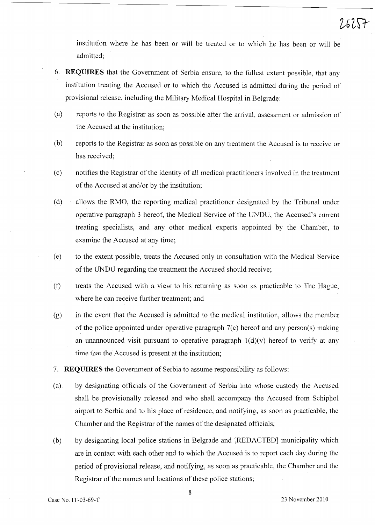institution where he has been or will be treated or to which he has been or will be admitted;

- 6. **REQUIRES** that the Government of Serbia ensure, to the fullest extent possible, that any institution treating the Accused or to which the Accused is admitted during the period of provisional release, including the Military Medical Hospital in Belgrade:
- (a) reports to the Registrar as soon as possible after the arrival, assessment or admission of the Accused at the institution;
- (b) reports to the Registrar as soon as possible on any treatment the Accused is to receive or has received;
- (c) notifies the Registrar of the identity of all medical practitioners involved in the treatment of the Accused at and/or by the institution;
- (d) allows the RMO, the reporting medical practitioner designated by the Tribunal under operative paragraph 3 hereof, the Medical Service of the UNDU, the Accused's current treating specialists, and any other medical experts appointed by the Chamber, to examine the Accused at any time;
- (e) to the extent possible, treats the Accused only in consultation with the Medical Service of the UNDU regarding the treatment the Accused should receive;
- (f) treats the Accused with a view to his returning as soon as practicable to The Hague, where he can receive further treatment; and
- (g) in the event that the Accused is admitted to the medical institution, allows the member of the police appointed under operative paragraph 7(c) hereof and any person(s) making an unannounced visit pursuant to operative paragraph  $1(d)(v)$  hereof to verify at any time that the Accused is present at the institution;
- 7. **REQUIRES** the Government of Serbia to assume responsibility as follows:
- (a) by designating officials of the Government of Serbia into whose custody the Accused shall be provisionally released and who shall accompany the Accused from Schiphol airport to Serbia and to his place of residence, and notifying, as soon as practicable, the Chamber and the Registrar of the names of the designated officials;
- (b) . by designating local police stations in Belgrade and [REDACTED] municipality which are in contact with each other and to which the Accused is to report each day during the period of provisional release, and notifying, as soon as practicable, the Chamber and the Registrar of the names and locations of these police stations;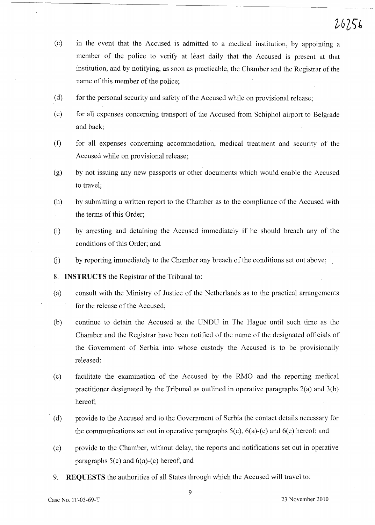- (c) in the event that the Accused is admitted to a medical institution, by appointing a member of the police to verify at least daily that the Accused is present at that institution, and by notifying, as soon as practicable, the Chamber and the Registrar of the name of this member of the police;
- (d) for the personal security and safety of the Accused while on provisional release;
- (e) for all expenses concerning transport of the Accused from Schiphol airport to Belgrade and back;
- (f) for all expenses concerning accommodation, medical treatment and security of the Accused while on provisional release;
- (g) by not issuing any new passports or other documents which would enable the Accused to travel;
- (h) by submitting a written report to the Chamber as to the compliance of the Accused with the terms of this Order;
- (i) by arresting and detaining the Accused immediately if he should breach any of the conditions of this Order; and
- U) by reporting immediately to the Chamber any breach of the conditions set out above;
- 8. **INSTRUCTS** the Registrar of the Tribunal to:
- (a) consult with the Ministry of Justice of the Netherlands as to the practical arrangements for the release of the Accused;
- (b) continue to detain the Accused at the UNDU in The Hague until such time as the Chamber and the Registrar have been notified of the name of the designated officials of the Government of Serbia into whose custody the Accused is to be provisionally released;
- (c) facilitate the examination of the Accused by the RMO and the reporting medical practitioner designated by the Tribunal as outlined in operative paragraphs 2(a) and 3(b) hereof;
- (d) provide to the Accused and to the Government of Serbia the contact details necessary for the communications set out in operative paragraphs  $5(c)$ ,  $6(a)-(c)$  and  $6(e)$  hereof; and
- (e) provide to the Chamber, without delay, the reports and notifications set out in operative paragraphs  $5(c)$  and  $6(a)-(c)$  hereof; and
- 9. **REQUESTS** the authorities of all States through which the Accused will travel to: